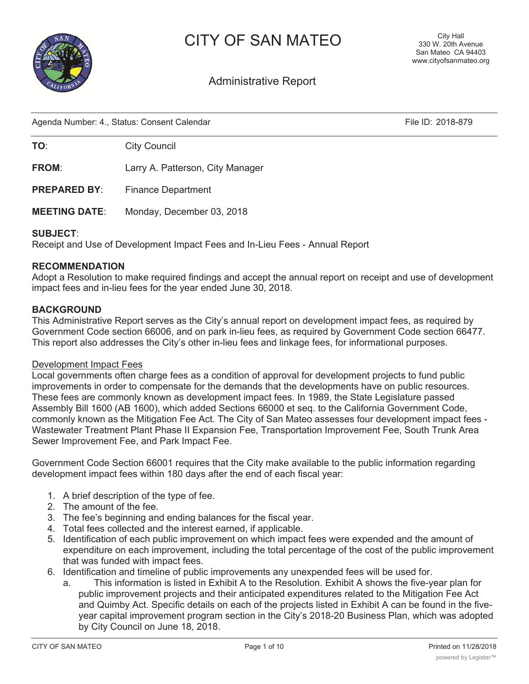



# Administrative Report

Agenda Number: 4., Status: Consent Calendar File ID: 2018-879

**TO:** City Council

**FROM**: Larry A. Patterson, City Manager

**PREPARED BY:** Finance Department

**MEETING DATE**: Monday, December 03, 2018

#### **SUBJECT**:

Receipt and Use of Development Impact Fees and In-Lieu Fees - Annual Report

#### **RECOMMENDATION**

Adopt a Resolution to make required findings and accept the annual report on receipt and use of development impact fees and in-lieu fees for the year ended June 30, 2018.

#### **BACKGROUND**

This Administrative Report serves as the City's annual report on development impact fees, as required by Government Code section 66006, and on park in-lieu fees, as required by Government Code section 66477. This report also addresses the City's other in-lieu fees and linkage fees, for informational purposes.

#### Development Impact Fees

Local governments often charge fees as a condition of approval for development projects to fund public improvements in order to compensate for the demands that the developments have on public resources. These fees are commonly known as development impact fees. In 1989, the State Legislature passed Assembly Bill 1600 (AB 1600), which added Sections 66000 et seq. to the California Government Code, commonly known as the Mitigation Fee Act. The City of San Mateo assesses four development impact fees - Wastewater Treatment Plant Phase II Expansion Fee, Transportation Improvement Fee, South Trunk Area Sewer Improvement Fee, and Park Impact Fee.

Government Code Section 66001 requires that the City make available to the public information regarding development impact fees within 180 days after the end of each fiscal year:

- 1. A brief description of the type of fee.
- 2. The amount of the fee.
- 3. The fee's beginning and ending balances for the fiscal year.
- 4. Total fees collected and the interest earned, if applicable.
- 5. Identification of each public improvement on which impact fees were expended and the amount of expenditure on each improvement, including the total percentage of the cost of the public improvement that was funded with impact fees.
- 6. Identification and timeline of public improvements any unexpended fees will be used for.
	- a. This information is listed in Exhibit A to the Resolution. Exhibit A shows the five-year plan for public improvement projects and their anticipated expenditures related to the Mitigation Fee Act and Quimby Act. Specific details on each of the projects listed in Exhibit A can be found in the fiveyear capital improvement program section in the City's 2018-20 Business Plan, which was adopted by City Council on June 18, 2018.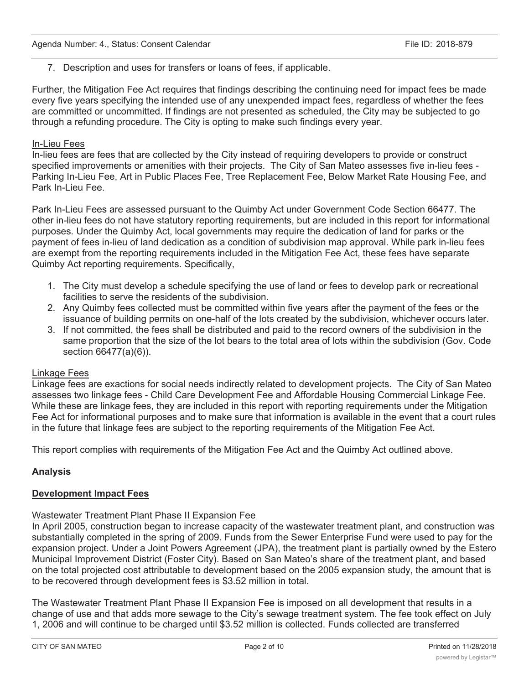## 7. Description and uses for transfers or loans of fees, if applicable.

Further, the Mitigation Fee Act requires that findings describing the continuing need for impact fees be made every five years specifying the intended use of any unexpended impact fees, regardless of whether the fees are committed or uncommitted. If findings are not presented as scheduled, the City may be subjected to go through a refunding procedure. The City is opting to make such findings every year.

## In-Lieu Fees

In-lieu fees are fees that are collected by the City instead of requiring developers to provide or construct specified improvements or amenities with their projects. The City of San Mateo assesses five in-lieu fees - Parking In-Lieu Fee, Art in Public Places Fee, Tree Replacement Fee, Below Market Rate Housing Fee, and Park In-Lieu Fee.

Park In-Lieu Fees are assessed pursuant to the Quimby Act under Government Code Section 66477. The other in-lieu fees do not have statutory reporting requirements, but are included in this report for informational purposes. Under the Quimby Act, local governments may require the dedication of land for parks or the payment of fees in-lieu of land dedication as a condition of subdivision map approval. While park in-lieu fees are exempt from the reporting requirements included in the Mitigation Fee Act, these fees have separate Quimby Act reporting requirements. Specifically,

- 1. The City must develop a schedule specifying the use of land or fees to develop park or recreational facilities to serve the residents of the subdivision.
- 2. Any Quimby fees collected must be committed within five years after the payment of the fees or the issuance of building permits on one-half of the lots created by the subdivision, whichever occurs later.
- 3. If not committed, the fees shall be distributed and paid to the record owners of the subdivision in the same proportion that the size of the lot bears to the total area of lots within the subdivision (Gov. Code section 66477(a)(6)).

#### Linkage Fees

Linkage fees are exactions for social needs indirectly related to development projects. The City of San Mateo assesses two linkage fees - Child Care Development Fee and Affordable Housing Commercial Linkage Fee. While these are linkage fees, they are included in this report with reporting requirements under the Mitigation Fee Act for informational purposes and to make sure that information is available in the event that a court rules in the future that linkage fees are subject to the reporting requirements of the Mitigation Fee Act.

This report complies with requirements of the Mitigation Fee Act and the Quimby Act outlined above.

## **Analysis**

## **Development Impact Fees**

## Wastewater Treatment Plant Phase II Expansion Fee

In April 2005, construction began to increase capacity of the wastewater treatment plant, and construction was substantially completed in the spring of 2009. Funds from the Sewer Enterprise Fund were used to pay for the expansion project. Under a Joint Powers Agreement (JPA), the treatment plant is partially owned by the Estero Municipal Improvement District (Foster City). Based on San Mateo's share of the treatment plant, and based on the total projected cost attributable to development based on the 2005 expansion study, the amount that is to be recovered through development fees is \$3.52 million in total.

The Wastewater Treatment Plant Phase II Expansion Fee is imposed on all development that results in a change of use and that adds more sewage to the City's sewage treatment system. The fee took effect on July 1, 2006 and will continue to be charged until \$3.52 million is collected. Funds collected are transferred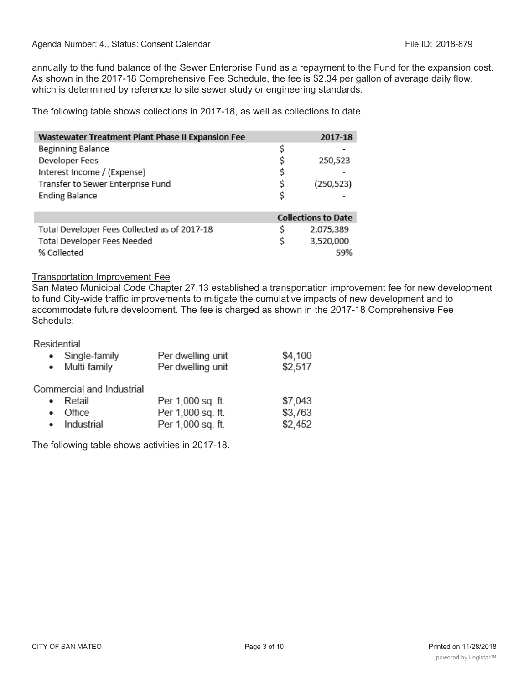annually to the fund balance of the Sewer Enterprise Fund as a repayment to the Fund for the expansion cost. As shown in the 2017-18 Comprehensive Fee Schedule, the fee is \$2.34 per gallon of average daily flow, which is determined by reference to site sewer study or engineering standards.

The following table shows collections in 2017-18, as well as collections to date.

| Wastewater Treatment Plant Phase II Expansion Fee | 2017-18                    |
|---------------------------------------------------|----------------------------|
| <b>Beginning Balance</b>                          | \$                         |
| Developer Fees                                    | \$<br>250,523              |
| Interest Income / (Expense)                       | \$                         |
| Transfer to Sewer Enterprise Fund                 | \$<br>(250, 523)           |
| <b>Ending Balance</b>                             | \$                         |
|                                                   | <b>Collections to Date</b> |
| Total Developer Fees Collected as of 2017-18      | \$<br>2,075,389            |
| Total Developer Fees Needed                       | \$<br>3,520,000            |
| % Collected                                       | .59%                       |

#### Transportation Improvement Fee

San Mateo Municipal Code Chapter 27.13 established a transportation improvement fee for new development to fund City-wide traffic improvements to mitigate the cumulative impacts of new development and to accommodate future development. The fee is charged as shown in the 2017-18 Comprehensive Fee Schedule:

Residential

|   | • Single-family<br>• Multi-family             | Per dwelling unit<br>Per dwelling unit | \$4,100<br>\$2,517 |
|---|-----------------------------------------------|----------------------------------------|--------------------|
| ٠ | Commercial and Industrial<br>Retail<br>Office | Per 1,000 sq. ft.<br>Per 1,000 sq. ft. | \$7,043<br>\$3,763 |
|   | • Industrial                                  | Per 1,000 sq. ft.                      | \$2,452            |

The following table shows activities in 2017-18.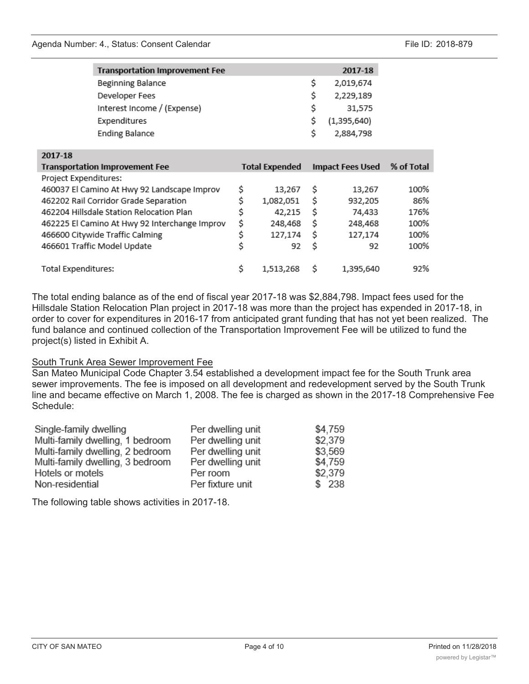CITY OF SAN MATEO **Page 4 of 10** Printed on 11/28/2018

powered by Legistar™

**Transportation Improvement Fee** 

| Beginning Balance                             |                       | \$<br>2,019,674         |            |
|-----------------------------------------------|-----------------------|-------------------------|------------|
| Developer Fees                                |                       | \$<br>2,229,189         |            |
| Interest Income / (Expense)                   |                       | \$<br>31,575            |            |
| Expenditures                                  |                       | \$<br>(1,395,640)       |            |
| <b>Ending Balance</b>                         |                       | \$<br>2,884,798         |            |
| 2017-18                                       |                       |                         |            |
| Transportation Improvement Fee                | <b>Total Expended</b> | <b>Impact Fees Used</b> | % of Total |
| Project Expenditures:                         |                       |                         |            |
| 460037 El Camino At Hwy 92 Landscape Improv   | \$<br>13,267          | \$<br>13,267            | 100%       |
| 462202 Rail Corridor Grade Separation         | \$<br>1,082,051       | \$<br>932,205           | 86%        |
| 462204 Hillsdale Station Relocation Plan      | \$<br>42,215          | \$<br>74,433            | 176%       |
| 462225 El Camino At Hwy 92 Interchange Improv | \$<br>248,468         | \$<br>248,468           | 100%       |
| 466600 Citywide Traffic Calming               | \$<br>127,174         | \$<br>127,174           | 100%       |
| 466601 Traffic Model Update                   | \$<br>92              | \$<br>92                | 100%       |
| Total Expenditures:                           | \$<br>1,513,268       | \$<br>1,395,640         | 92%        |
|                                               |                       |                         |            |

The total ending balance as of the end of fiscal year 2017-18 was \$2,884,798. Impact fees used for the Hillsdale Station Relocation Plan project in 2017-18 was more than the project has expended in 2017-18, in order to cover for expenditures in 2016-17 from anticipated grant funding that has not yet been realized. The fund balance and continued collection of the Transportation Improvement Fee will be utilized to fund the project(s) listed in Exhibit A.

#### South Trunk Area Sewer Improvement Fee

San Mateo Municipal Code Chapter 3.54 established a development impact fee for the South Trunk area sewer improvements. The fee is imposed on all development and redevelopment served by the South Trunk line and became effective on March 1, 2008. The fee is charged as shown in the 2017-18 Comprehensive Fee Schedule:

| Single-family dwelling           | Per dwelling unit | \$4,759 |
|----------------------------------|-------------------|---------|
| Multi-family dwelling, 1 bedroom | Per dwelling unit | \$2,379 |
| Multi-family dwelling, 2 bedroom | Per dwelling unit | \$3,569 |
| Multi-family dwelling, 3 bedroom | Per dwelling unit | \$4,759 |
| Hotels or motels                 | Per room          | \$2,379 |
| Non-residential                  | Per fixture unit  | \$238   |

The following table shows activities in 2017-18.

2017-18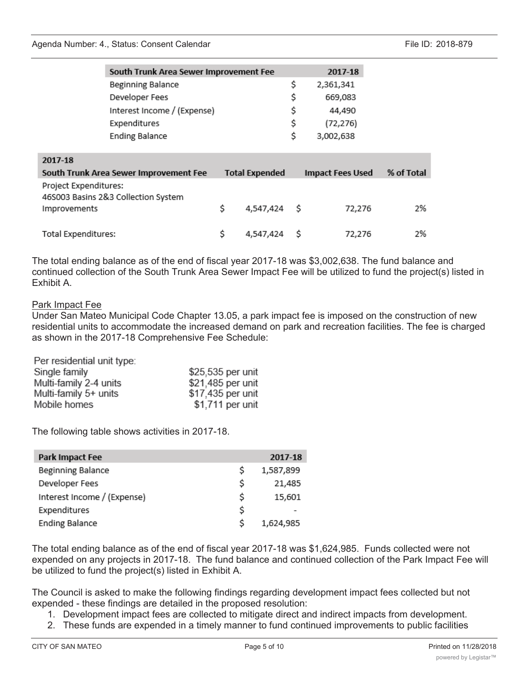#### Agenda Number: 4., Status: Consent Calendar File ID: 2018-879

|                       | South Trunk Area Sewer Improvement Fee |                       |    | 2017-18                 |            |
|-----------------------|----------------------------------------|-----------------------|----|-------------------------|------------|
|                       | Beginning Balance                      |                       | \$ | 2,361,341               |            |
|                       | Developer Fees                         |                       | \$ | 669,083                 |            |
|                       | Interest Income / (Expense)            |                       | \$ | 44,490                  |            |
|                       | Expenditures                           |                       | \$ | (72, 276)               |            |
|                       | <b>Ending Balance</b>                  |                       | \$ | 3,002,638               |            |
|                       |                                        |                       |    |                         |            |
| 2017-18               |                                        |                       |    |                         |            |
|                       | South Trunk Area Sewer Improvement Fee | <b>Total Expended</b> |    | <b>Impact Fees Used</b> | % of Total |
|                       |                                        |                       |    |                         |            |
| Project Expenditures: |                                        |                       |    |                         |            |
|                       | 46S003 Basins 2&3 Collection System    |                       |    |                         |            |
| Improvements          |                                        | \$<br>4,547,424       | S  | 72,276                  | 2%         |
|                       |                                        | \$                    |    |                         |            |

The total ending balance as of the end of fiscal year 2017-18 was \$3,002,638. The fund balance and continued collection of the South Trunk Area Sewer Impact Fee will be utilized to fund the project(s) listed in Exhibit A.

#### Park Impact Fee

Under San Mateo Municipal Code Chapter 13.05, a park impact fee is imposed on the construction of new residential units to accommodate the increased demand on park and recreation facilities. The fee is charged as shown in the 2017-18 Comprehensive Fee Schedule:

Per residential unit type:

| Single family          | \$25,535 per unit |
|------------------------|-------------------|
| Multi-family 2-4 units | \$21,485 per unit |
| Multi-family 5+ units  | \$17,435 per unit |
| Mobile homes           | \$1,711 per unit  |

The following table shows activities in 2017-18.

| Park Impact Fee             |    | 2017-18   |
|-----------------------------|----|-----------|
| Beginning Balance           | Ŝ  | 1,587,899 |
| Developer Fees              | \$ | 21,485    |
| Interest Income / (Expense) | Ś  | 15,601    |
| Expenditures                | \$ |           |
| <b>Ending Balance</b>       | Ś  | 1,624,985 |

The total ending balance as of the end of fiscal year 2017-18 was \$1,624,985. Funds collected were not expended on any projects in 2017-18. The fund balance and continued collection of the Park Impact Fee will be utilized to fund the project(s) listed in Exhibit A.

The Council is asked to make the following findings regarding development impact fees collected but not expended - these findings are detailed in the proposed resolution:

- 1. Development impact fees are collected to mitigate direct and indirect impacts from development.
- 2. These funds are expended in a timely manner to fund continued improvements to public facilities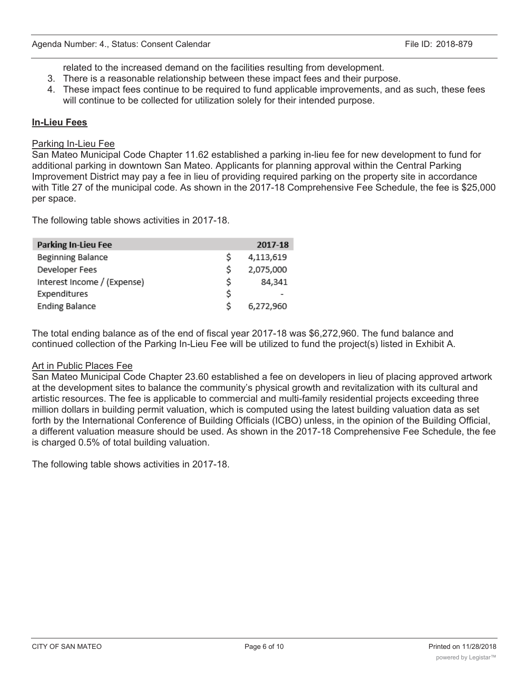related to the increased demand on the facilities resulting from development.

- 3. There is a reasonable relationship between these impact fees and their purpose.
- 4. These impact fees continue to be required to fund applicable improvements, and as such, these fees will continue to be collected for utilization solely for their intended purpose.

## **In-Lieu Fees**

#### Parking In-Lieu Fee

San Mateo Municipal Code Chapter 11.62 established a parking in-lieu fee for new development to fund for additional parking in downtown San Mateo. Applicants for planning approval within the Central Parking Improvement District may pay a fee in lieu of providing required parking on the property site in accordance with Title 27 of the municipal code. As shown in the 2017-18 Comprehensive Fee Schedule, the fee is \$25,000 per space.

The following table shows activities in 2017-18.

| Parking In-Lieu Fee         |    | 2017-18   |
|-----------------------------|----|-----------|
| Beginning Balance           | Ś  | 4,113,619 |
| Developer Fees              | \$ | 2,075,000 |
| Interest Income / (Expense) | \$ | 84,341    |
| Expenditures                | \$ |           |
| <b>Ending Balance</b>       | Ś  | 6,272,960 |

The total ending balance as of the end of fiscal year 2017-18 was \$6,272,960. The fund balance and continued collection of the Parking In-Lieu Fee will be utilized to fund the project(s) listed in Exhibit A.

#### Art in Public Places Fee

San Mateo Municipal Code Chapter 23.60 established a fee on developers in lieu of placing approved artwork at the development sites to balance the community's physical growth and revitalization with its cultural and artistic resources. The fee is applicable to commercial and multi-family residential projects exceeding three million dollars in building permit valuation, which is computed using the latest building valuation data as set forth by the International Conference of Building Officials (ICBO) unless, in the opinion of the Building Official, a different valuation measure should be used. As shown in the 2017-18 Comprehensive Fee Schedule, the fee is charged 0.5% of total building valuation.

The following table shows activities in 2017-18.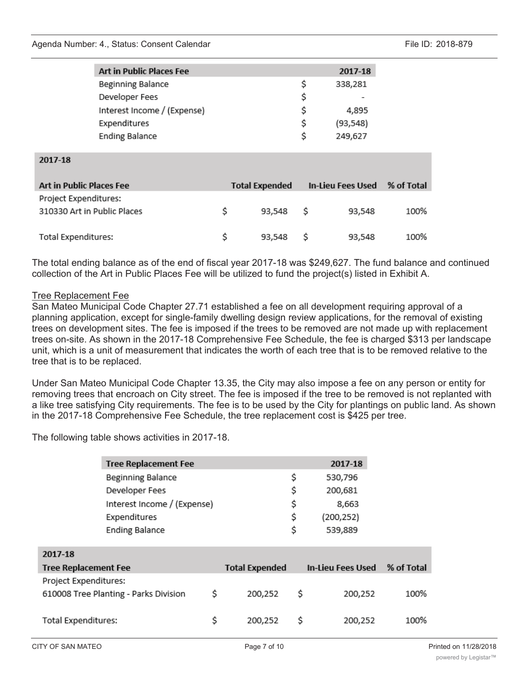#### Agenda Number: 4., Status: Consent Calendar File ID: 2018-879

| <b>Art in Public Places Fee</b> |    | 2017-18   |
|---------------------------------|----|-----------|
| Beginning Balance               | \$ | 338,281   |
| Developer Fees                  | Ś  |           |
| Interest Income / (Expense)     | s  | 4,895     |
| Expenditures                    | S  | (93, 548) |
| <b>Ending Balance</b>           | Ś  | 249,627   |

| 2017-18 |  |
|---------|--|
|         |  |

| Art in Public Places Fee                             |   | <b>Total Expended</b> | <b>In-Lieu Fees Used</b> |        | % of Total |
|------------------------------------------------------|---|-----------------------|--------------------------|--------|------------|
| Project Expenditures:<br>310330 Art in Public Places |   | 93.548                | - S                      | 93,548 | 100%       |
| Total Expenditures:                                  | S | 93,548                | - S                      | 93,548 | 100%       |

The total ending balance as of the end of fiscal year 2017-18 was \$249,627. The fund balance and continued collection of the Art in Public Places Fee will be utilized to fund the project(s) listed in Exhibit A.

## Tree Replacement Fee

San Mateo Municipal Code Chapter 27.71 established a fee on all development requiring approval of a planning application, except for single-family dwelling design review applications, for the removal of existing trees on development sites. The fee is imposed if the trees to be removed are not made up with replacement trees on-site. As shown in the 2017-18 Comprehensive Fee Schedule, the fee is charged \$313 per landscape unit, which is a unit of measurement that indicates the worth of each tree that is to be removed relative to the tree that is to be replaced.

Under San Mateo Municipal Code Chapter 13.35, the City may also impose a fee on any person or entity for removing trees that encroach on City street. The fee is imposed if the tree to be removed is not replanted with a like tree satisfying City requirements. The fee is to be used by the City for plantings on public land. As shown in the 2017-18 Comprehensive Fee Schedule, the tree replacement cost is \$425 per tree.

The following table shows activities in 2017-18.

|                             | <b>Tree Replacement Fee</b>           |                       | 2017-18                  |            |
|-----------------------------|---------------------------------------|-----------------------|--------------------------|------------|
|                             | Beginning Balance                     |                       | \$<br>530,796            |            |
|                             | Developer Fees                        |                       | \$<br>200,681            |            |
|                             | Interest Income / (Expense)           |                       | \$<br>8,663              |            |
|                             | Expenditures                          |                       | \$<br>(200, 252)         |            |
|                             | <b>Ending Balance</b>                 |                       | \$<br>539,889            |            |
| 2017-18                     |                                       |                       |                          |            |
|                             |                                       |                       |                          |            |
| <b>Tree Replacement Fee</b> |                                       | <b>Total Expended</b> | <b>In-Lieu Fees Used</b> | % of Total |
| Project Expenditures:       |                                       |                       |                          |            |
|                             | 610008 Tree Planting - Parks Division | \$<br>200,252         | \$<br>200,252            | 100%       |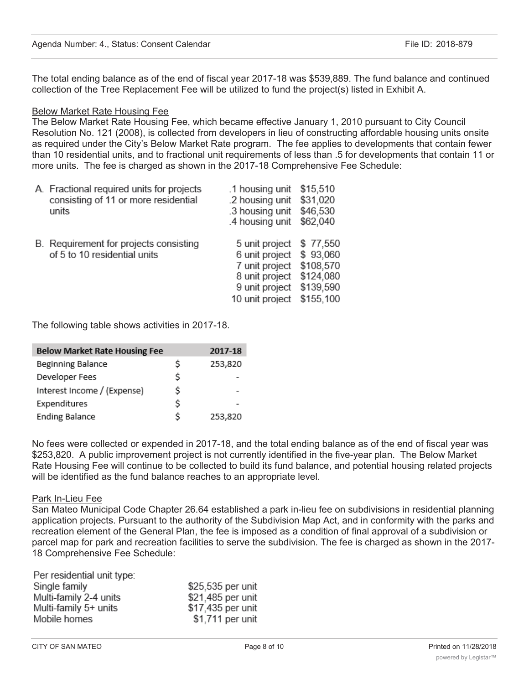The total ending balance as of the end of fiscal year 2017-18 was \$539,889. The fund balance and continued collection of the Tree Replacement Fee will be utilized to fund the project(s) listed in Exhibit A.

## Below Market Rate Housing Fee

The Below Market Rate Housing Fee, which became effective January 1, 2010 pursuant to City Council Resolution No. 121 (2008), is collected from developers in lieu of constructing affordable housing units onsite as required under the City's Below Market Rate program. The fee applies to developments that contain fewer than 10 residential units, and to fractional unit requirements of less than .5 for developments that contain 11 or more units. The fee is charged as shown in the 2017-18 Comprehensive Fee Schedule:

| A. Fractional required units for projects<br>consisting of 11 or more residential<br>units | .1 housing unit<br>.2 housing unit<br>.3 housing unit<br>.4 housing unit                                  | \$15,510<br>\$31,020<br>\$46,530<br>\$62,040                             |
|--------------------------------------------------------------------------------------------|-----------------------------------------------------------------------------------------------------------|--------------------------------------------------------------------------|
| B. Requirement for projects consisting<br>of 5 to 10 residential units                     | 5 unit project<br>6 unit project<br>7 unit project<br>8 unit project<br>9 unit project<br>10 unit project | \$77,550<br>\$93,060<br>\$108,570<br>\$124,080<br>\$139,590<br>\$155.100 |

The following table shows activities in 2017-18.

| <b>Below Market Rate Housing Fee</b> |    | 2017-18 |
|--------------------------------------|----|---------|
| Beginning Balance                    | Ś  | 253,820 |
| Developer Fees                       | Ś. |         |
| Interest Income / (Expense)          | Ś  |         |
| Expenditures                         | Ś  |         |
| <b>Ending Balance</b>                | Ś  | 253,820 |

No fees were collected or expended in 2017-18, and the total ending balance as of the end of fiscal year was \$253,820. A public improvement project is not currently identified in the five-year plan. The Below Market Rate Housing Fee will continue to be collected to build its fund balance, and potential housing related projects will be identified as the fund balance reaches to an appropriate level.

#### Park In-Lieu Fee

San Mateo Municipal Code Chapter 26.64 established a park in-lieu fee on subdivisions in residential planning application projects. Pursuant to the authority of the Subdivision Map Act, and in conformity with the parks and recreation element of the General Plan, the fee is imposed as a condition of final approval of a subdivision or parcel map for park and recreation facilities to serve the subdivision. The fee is charged as shown in the 2017- 18 Comprehensive Fee Schedule:

| Per residential unit type: |                   |
|----------------------------|-------------------|
| Single family              | \$25,535 per unit |
| Multi-family 2-4 units     | \$21,485 per unit |
| Multi-family 5+ units      | \$17,435 per unit |
| Mobile homes               | \$1,711 per unit  |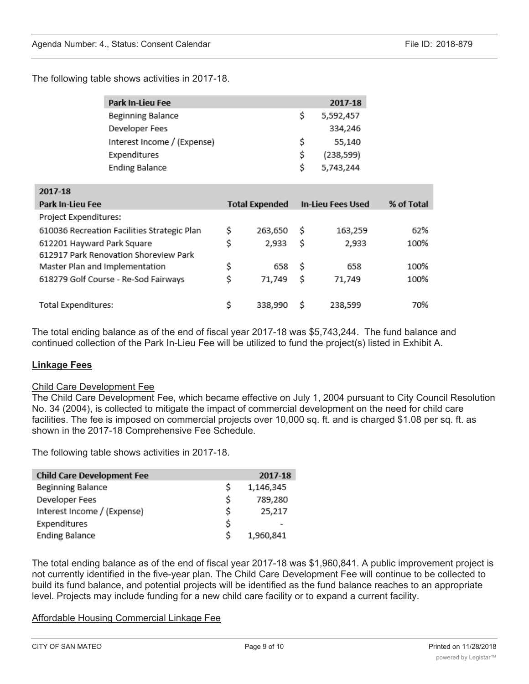The following table shows activities in 2017-18.

|                                      | Park In-Lieu Fee                            |                       | 2017-18                  |            |
|--------------------------------------|---------------------------------------------|-----------------------|--------------------------|------------|
|                                      | Beginning Balance                           |                       | \$<br>5,592,457          |            |
|                                      | Developer Fees                              |                       | 334,246                  |            |
|                                      | Interest Income / (Expense)                 |                       | \$<br>55,140             |            |
|                                      | Expenditures                                |                       | \$<br>(238, 599)         |            |
|                                      | <b>Ending Balance</b>                       |                       | \$<br>5,743,244          |            |
| 2017-18                              |                                             |                       |                          |            |
| Park In-Lieu Fee                     |                                             | <b>Total Expended</b> | <b>In-Lieu Fees Used</b> | % of Total |
| Project Expenditures:                |                                             |                       |                          |            |
|                                      | 610036 Recreation Facilities Strategic Plan | \$<br>263,650         | \$<br>163,259            | 62%        |
| 612201 Hayward Park Square           |                                             | \$<br>2,933           | \$<br>2,933              | 100%       |
|                                      | 612917 Park Renovation Shoreview Park       |                       |                          |            |
| Master Plan and Implementation       |                                             | \$<br>658             | \$<br>658                | 100%       |
| 618279 Golf Course - Re-Sod Fairways |                                             | \$<br>71,749          | \$<br>71,749             | 100%       |
|                                      |                                             |                       |                          |            |

The total ending balance as of the end of fiscal year 2017-18 was \$5,743,244. The fund balance and continued collection of the Park In-Lieu Fee will be utilized to fund the project(s) listed in Exhibit A.

#### **Linkage Fees**

#### Child Care Development Fee

The Child Care Development Fee, which became effective on July 1, 2004 pursuant to City Council Resolution No. 34 (2004), is collected to mitigate the impact of commercial development on the need for child care facilities. The fee is imposed on commercial projects over 10,000 sq. ft. and is charged \$1.08 per sq. ft. as shown in the 2017-18 Comprehensive Fee Schedule.

The following table shows activities in 2017-18.

| <b>Child Care Development Fee</b> |    | 2017-18   |
|-----------------------------------|----|-----------|
| Beginning Balance                 | Ś  | 1,146,345 |
| Developer Fees                    | \$ | 789,280   |
| Interest Income / (Expense)       | \$ | 25,217    |
| Expenditures                      | \$ |           |
| <b>Ending Balance</b>             | S  | 1,960,841 |

The total ending balance as of the end of fiscal year 2017-18 was \$1,960,841. A public improvement project is not currently identified in the five-year plan. The Child Care Development Fee will continue to be collected to build its fund balance, and potential projects will be identified as the fund balance reaches to an appropriate level. Projects may include funding for a new child care facility or to expand a current facility.

#### Affordable Housing Commercial Linkage Fee